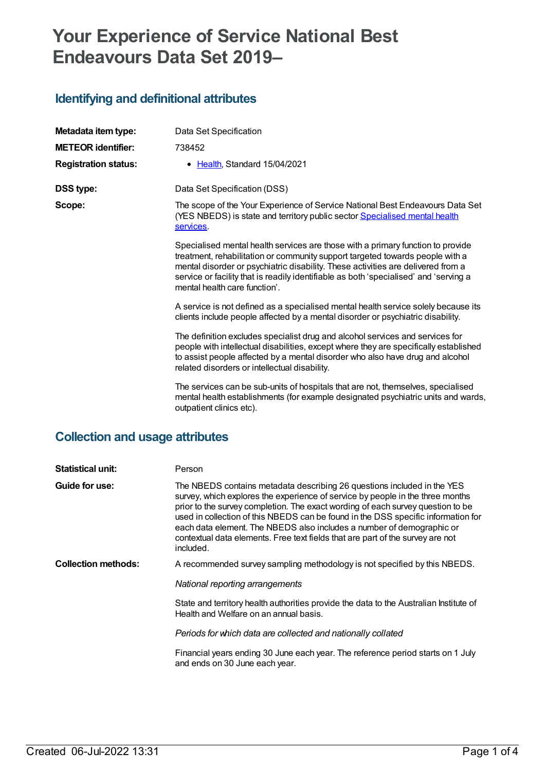# **Your Experience of Service National Best Endeavours Data Set 2019–**

### **Identifying and definitional attributes**

| Metadata item type:         | Data Set Specification                                                                                                                                                                                                                                                                                                                                                         |
|-----------------------------|--------------------------------------------------------------------------------------------------------------------------------------------------------------------------------------------------------------------------------------------------------------------------------------------------------------------------------------------------------------------------------|
| <b>METEOR identifier:</b>   | 738452                                                                                                                                                                                                                                                                                                                                                                         |
| <b>Registration status:</b> | • Health, Standard 15/04/2021                                                                                                                                                                                                                                                                                                                                                  |
| <b>DSS type:</b>            | Data Set Specification (DSS)                                                                                                                                                                                                                                                                                                                                                   |
| Scope:                      | The scope of the Your Experience of Service National Best Endeavours Data Set<br>(YES NBEDS) is state and territory public sector Specialised mental health<br>services.                                                                                                                                                                                                       |
|                             | Specialised mental health services are those with a primary function to provide<br>treatment, rehabilitation or community support targeted towards people with a<br>mental disorder or psychiatric disability. These activities are delivered from a<br>service or facility that is readily identifiable as both 'specialised' and 'serving a<br>mental health care function'. |
|                             | A service is not defined as a specialised mental health service solely because its<br>clients include people affected by a mental disorder or psychiatric disability.                                                                                                                                                                                                          |
|                             | The definition excludes specialist drug and alcohol services and services for<br>people with intellectual disabilities, except where they are specifically established<br>to assist people affected by a mental disorder who also have drug and alcohol<br>related disorders or intellectual disability.                                                                       |
|                             | The services can be sub-units of hospitals that are not, themselves, specialised<br>mental health establishments (for example designated psychiatric units and wards,<br>outpatient clinics etc).                                                                                                                                                                              |

#### **Collection and usage attributes**

| <b>Statistical unit:</b>   | Person                                                                                                                                                                                                                                                                                                                                                                                                                                                                                                    |
|----------------------------|-----------------------------------------------------------------------------------------------------------------------------------------------------------------------------------------------------------------------------------------------------------------------------------------------------------------------------------------------------------------------------------------------------------------------------------------------------------------------------------------------------------|
| Guide for use:             | The NBEDS contains metadata describing 26 questions included in the YES<br>survey, which explores the experience of service by people in the three months<br>prior to the survey completion. The exact wording of each survey question to be<br>used in collection of this NBEDS can be found in the DSS specific information for<br>each data element. The NBEDS also includes a number of demographic or<br>contextual data elements. Free text fields that are part of the survey are not<br>included. |
| <b>Collection methods:</b> | A recommended survey sampling methodology is not specified by this NBEDS.                                                                                                                                                                                                                                                                                                                                                                                                                                 |
|                            | National reporting arrangements                                                                                                                                                                                                                                                                                                                                                                                                                                                                           |
|                            | State and territory health authorities provide the data to the Australian Institute of<br>Health and Welfare on an annual basis.                                                                                                                                                                                                                                                                                                                                                                          |
|                            | Periods for which data are collected and nationally collated                                                                                                                                                                                                                                                                                                                                                                                                                                              |
|                            | Financial years ending 30 June each year. The reference period starts on 1 July<br>and ends on 30 June each year.                                                                                                                                                                                                                                                                                                                                                                                         |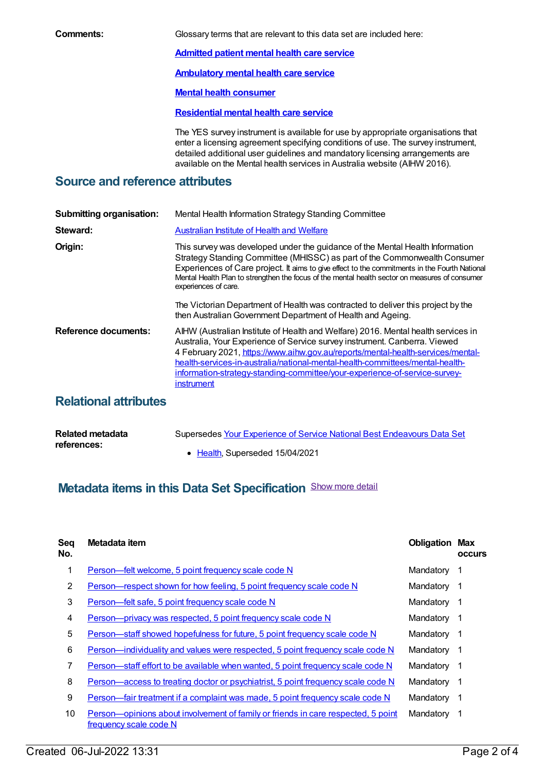**Comments:** Glossary terms that are relevant to this data set are included here: **[Admitted](https://meteor.aihw.gov.au/content/409067) patient mental health care service [Ambulatory](https://meteor.aihw.gov.au/content/699980) mental health care service Mental health [consumer](https://meteor.aihw.gov.au/content/515275) [Residential](https://meteor.aihw.gov.au/content/373049) mental health care service** The YES survey instrument is available for use by appropriate organisations that

enter a licensing agreement specifying conditions of use. The survey instrument, detailed additional user guidelines and mandatory licensing arrangements are available on the Mental health services in Australia website (AIHW 2016).

#### **Source and reference attributes**

| <b>Submitting organisation:</b> | Mental Health Information Strategy Standing Committee                                                                                                                                                                                                                                                                                                                                                                          |
|---------------------------------|--------------------------------------------------------------------------------------------------------------------------------------------------------------------------------------------------------------------------------------------------------------------------------------------------------------------------------------------------------------------------------------------------------------------------------|
| Steward:                        | <b>Australian Institute of Health and Welfare</b>                                                                                                                                                                                                                                                                                                                                                                              |
| Origin:                         | This survey was developed under the guidance of the Mental Health Information<br>Strategy Standing Committee (MHISSC) as part of the Commonwealth Consumer<br>Experiences of Care project. It aims to give effect to the commitments in the Fourth National<br>Mental Health Plan to strengthen the focus of the mental health sector on measures of consumer<br>experiences of care.                                          |
|                                 | The Victorian Department of Health was contracted to deliver this project by the<br>then Australian Government Department of Health and Ageing.                                                                                                                                                                                                                                                                                |
| <b>Reference documents:</b>     | AIHW (Australian Institute of Health and Welfare) 2016. Mental health services in<br>Australia, Your Experience of Service survey instrument. Canberra. Viewed<br>4 February 2021, https://www.aihw.gov.au/reports/mental-health-services/mental-<br>health-services-in-australia/national-mental-health-committees/mental-health-<br>information-strategy-standing-committee/your-experience-of-service-survey-<br>instrument |

### **Relational attributes**

| Related metadata | Supersedes Your Experience of Service National Best Endeavours Data Set |
|------------------|-------------------------------------------------------------------------|
| references:      |                                                                         |
|                  | • Health, Superseded 15/04/2021                                         |

## **Metadata items in this Data Set Specification** Show more detail

| <b>Seq</b><br>No. | Metadata item                                                                                               | <b>Obligation Max</b> | <b>occurs</b> |
|-------------------|-------------------------------------------------------------------------------------------------------------|-----------------------|---------------|
| 1                 | Person-felt welcome, 5 point frequency scale code N                                                         | Mandatory             | 1             |
| 2                 | Person—respect shown for how feeling, 5 point frequency scale code N                                        | Mandatory             | -1            |
| 3                 | Person-felt safe, 5 point frequency scale code N                                                            | Mandatory             | -1            |
| 4                 | Person-privacy was respected, 5 point frequency scale code N                                                | Mandatory             | -1            |
| 5                 | Person—staff showed hopefulness for future, 5 point frequency scale code N                                  | Mandatory             | -1            |
| 6                 | <u>Person—individuality and values were respected, 5 point frequency scale code N</u>                       | Mandatory             | -1            |
| 7                 | Person—staff effort to be available when wanted, 5 point frequency scale code N                             | Mandatory             | -1            |
| 8                 | <u>Person—access to treating doctor or psychiatrist, 5 point frequency scale code N</u>                     | Mandatory             | -1            |
| 9                 | Person-fair treatment if a complaint was made, 5 point frequency scale code N                               | Mandatory             | -1            |
| 10                | Person—opinions about involvement of family or friends in care respected, 5 point<br>frequency scale code N | Mandatory             | -1            |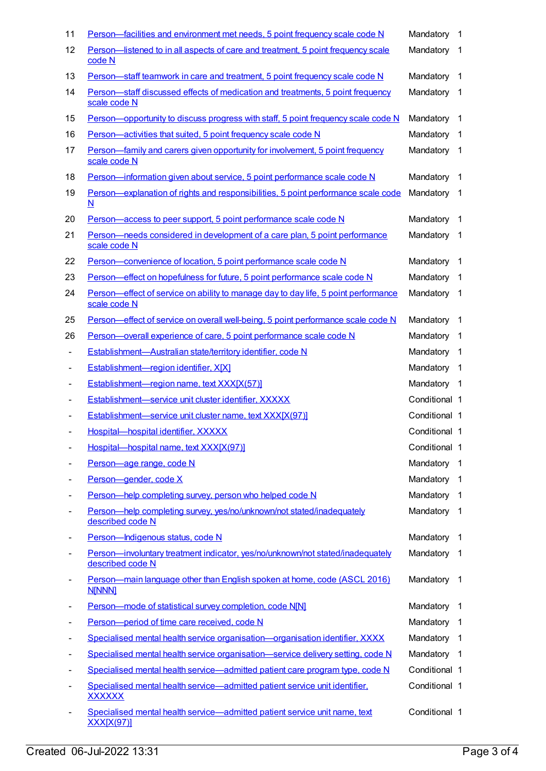| 11                | Person—facilities and environment met needs, 5 point frequency scale code N                                   | Mandatory     | -1                      |
|-------------------|---------------------------------------------------------------------------------------------------------------|---------------|-------------------------|
| $12 \overline{ }$ | Person-listened to in all aspects of care and treatment, 5 point frequency scale<br>code N                    | Mandatory     | $\overline{1}$          |
| 13                | Person-staff teamwork in care and treatment, 5 point frequency scale code N                                   | Mandatory     | $\overline{1}$          |
| 14                | Person-staff discussed effects of medication and treatments, 5 point frequency<br>scale code N                | Mandatory     | - 1                     |
| 15                | Person—opportunity to discuss progress with staff, 5 point frequency scale code N                             | Mandatory     | $\overline{1}$          |
| 16                | Person-activities that suited, 5 point frequency scale code N                                                 | Mandatory     | $\overline{1}$          |
| 17                | Person—family and carers given opportunity for involvement, 5 point frequency<br>scale code N                 | Mandatory     | $\overline{\mathbf{1}}$ |
| 18                | Person-information given about service, 5 point performance scale code N                                      | Mandatory     | - 1                     |
| 19                | Person—explanation of rights and responsibilities, 5 point performance scale code<br>$\underline{\mathbf{N}}$ | Mandatory     | $\overline{1}$          |
| 20                | Person-access to peer support, 5 point performance scale code N                                               | Mandatory     | $\overline{1}$          |
| 21                | Person-needs considered in development of a care plan, 5 point performance<br>scale code N                    | Mandatory     | - 1                     |
| 22                | Person-convenience of location, 5 point performance scale code N                                              | Mandatory     | - 1                     |
| 23                | Person—effect on hopefulness for future, 5 point performance scale code N                                     | Mandatory     | $\overline{1}$          |
| 24                | Person—effect of service on ability to manage day to day life, 5 point performance<br>scale code N            | Mandatory     | $\overline{1}$          |
| 25                | Person—effect of service on overall well-being, 5 point performance scale code N                              | Mandatory     | $\overline{\mathbf{1}}$ |
| 26                | Person-overall experience of care, 5 point performance scale code N                                           | Mandatory     | -1                      |
|                   | Establishment-Australian state/territory identifier, code N                                                   | Mandatory     | $\overline{1}$          |
|                   | Establishment-region identifier, X[X]                                                                         | Mandatory     | $\overline{1}$          |
|                   | Establishment-region name, text XXX[X(57)]                                                                    | Mandatory 1   |                         |
|                   | Establishment-service unit cluster identifier, XXXXX                                                          | Conditional 1 |                         |
|                   | Establishment-service unit cluster name, text XXX[X(97)]                                                      | Conditional 1 |                         |
|                   | Hospital-hospital identifier, XXXXX                                                                           | Conditional 1 |                         |
|                   | Hospital-hospital name, text XXX[X(97)]                                                                       | Conditional 1 |                         |
|                   | Person-age range, code N                                                                                      | Mandatory     | $\overline{1}$          |
|                   | Person-gender, code X                                                                                         | Mandatory     | $\overline{1}$          |
|                   | Person-help completing survey, person who helped code N                                                       | Mandatory     | -1                      |
|                   | Person-help completing survey, yes/no/unknown/not stated/inadequately<br>described code N                     | Mandatory     | $\overline{1}$          |
|                   | Person-Indigenous status, code N                                                                              | Mandatory     | $\overline{1}$          |
|                   | Person-involuntary treatment indicator, yes/no/unknown/not stated/inadequately<br>described code N            | Mandatory     | - 1                     |
|                   | Person-main language other than English spoken at home, code (ASCL 2016)<br><b>N[NNN]</b>                     | Mandatory     | - 1                     |
|                   | Person-mode of statistical survey completion, code N[N]                                                       | Mandatory     | $\overline{1}$          |
|                   | Person-period of time care received, code N                                                                   | Mandatory     | $\overline{1}$          |
|                   | Specialised mental health service organisation-organisation identifier, XXXX                                  | Mandatory     | $\overline{1}$          |
|                   | Specialised mental health service organisation-service delivery setting, code N                               | Mandatory     | $\overline{1}$          |
|                   | Specialised mental health service-admitted patient care program type, code N                                  | Conditional 1 |                         |
|                   | Specialised mental health service-admitted patient service unit identifier,<br><b>XXXXXX</b>                  | Conditional 1 |                         |
|                   | Specialised mental health service-admitted patient service unit name, text<br><u>XXX[X(97)]</u>               | Conditional 1 |                         |